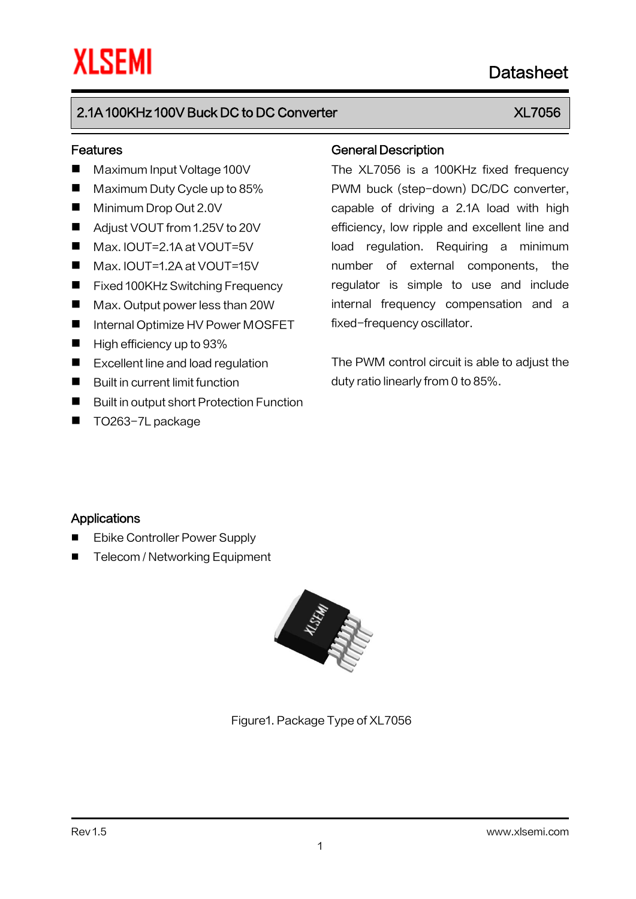# Datasheet

## 2.1A 100KHz 100V Buck DC to DC Converter XLT 2.1A 100KHz 100V Buck DC to DC Converter

### Features

- Maximum Input Voltage 100V
- Maximum Duty Cycle up to 85%
- **Minimum Drop Out 2.0V**
- Adjust VOUT from 1.25V to 20V
- Max. IOUT=2.1A at VOUT=5V
- Max. IOUT=1.2A at VOUT=15V
- Fixed 100KHz Switching Frequency
- Max. Output power less than 20W
- Internal Optimize HV Power MOSFET
- $\blacksquare$  High efficiency up to 93%
- Excellent line and load regulation
- $\blacksquare$  Built in current limit function
- **Built in output short Protection Function**
- TO263-7L package

### General Description

The XL7056 is a 100KHz fixed frequency PWM buck (step-down) DC/DC converter, capable of driving a 2.1A load with high efficiency, low ripple and excellent line and load regulation. Requiring a minimum number of external components, the regulator is simple to use and include internal frequency compensation and a fixed-frequency oscillator.

The PWM control circuit is able to adjust the duty ratio linearly from 0 to 85%.

### **Applications**

- Ebike Controller Power Supply
- Telecom / Networking Equipment



Figure1. Package Type of XL7056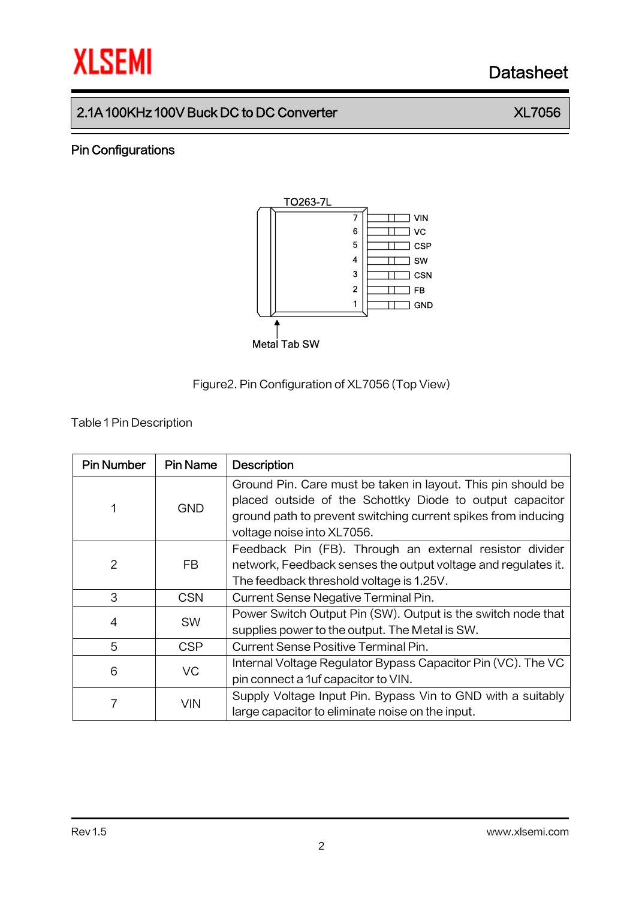# **XLSEMI** Datasheet

## 2.1A 100KHz 100V Buck DC to DC Converter XL7056

### Pin Configurations





**Table 1 Pin Description** 

| <b>Pin Number</b> | <b>Pin Name</b> | <b>Description</b>                                            |  |  |
|-------------------|-----------------|---------------------------------------------------------------|--|--|
| 1                 | <b>GND</b>      | Ground Pin. Care must be taken in layout. This pin should be  |  |  |
|                   |                 | placed outside of the Schottky Diode to output capacitor      |  |  |
|                   |                 | ground path to prevent switching current spikes from inducing |  |  |
|                   |                 | voltage noise into XL7056.                                    |  |  |
|                   | FB.             | Feedback Pin (FB). Through an external resistor divider       |  |  |
| 2                 |                 | network, Feedback senses the output voltage and regulates it. |  |  |
|                   |                 | The feedback threshold voltage is 1.25V.                      |  |  |
| 3                 | <b>CSN</b>      | Current Sense Negative Terminal Pin.                          |  |  |
| 4                 | <b>SW</b>       | Power Switch Output Pin (SW). Output is the switch node that  |  |  |
|                   |                 | supplies power to the output. The Metal is SW.                |  |  |
| 5                 | <b>CSP</b>      | <b>Current Sense Positive Terminal Pin.</b>                   |  |  |
| 6                 | VC              | Internal Voltage Regulator Bypass Capacitor Pin (VC). The VC  |  |  |
|                   |                 | pin connect a 1uf capacitor to VIN.                           |  |  |
| 7                 | <b>VIN</b>      | Supply Voltage Input Pin. Bypass Vin to GND with a suitably   |  |  |
|                   |                 | large capacitor to eliminate noise on the input.              |  |  |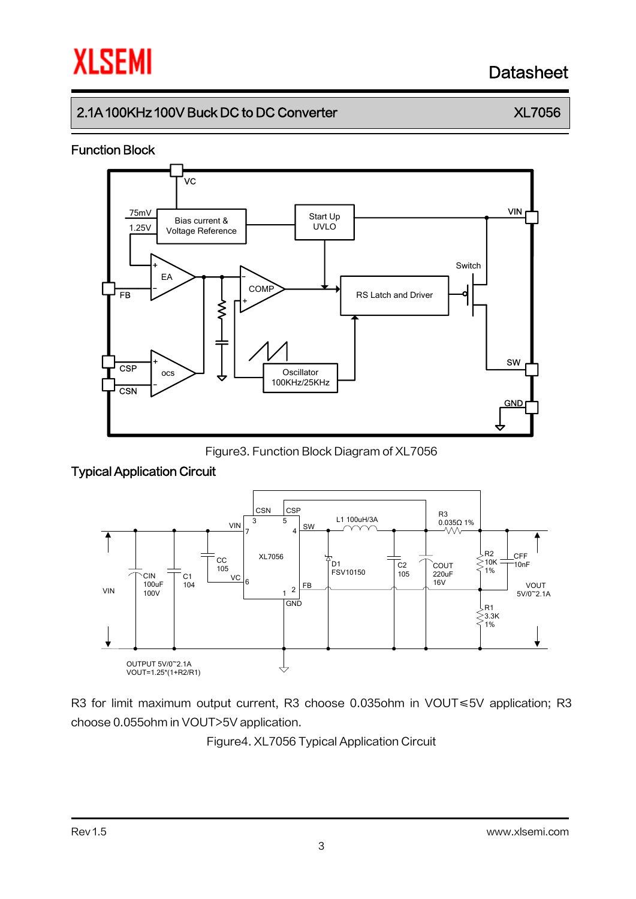# Datasheet

## 2.1A 100KHz 100V Buck DC to DC Converter XLT 2.1A 100KHz 100V Buck DC to DC Converter

### Function Block



Figure3. Function Block Diagram of XL7056

### Typical Application Circuit



R3 for limit maximum output current, R3 choose 0.035ohm in VOUT≤5V application; R3 choose 0.055ohm in VOUT>5V application.

Figure4. XL7056 Typical Application Circuit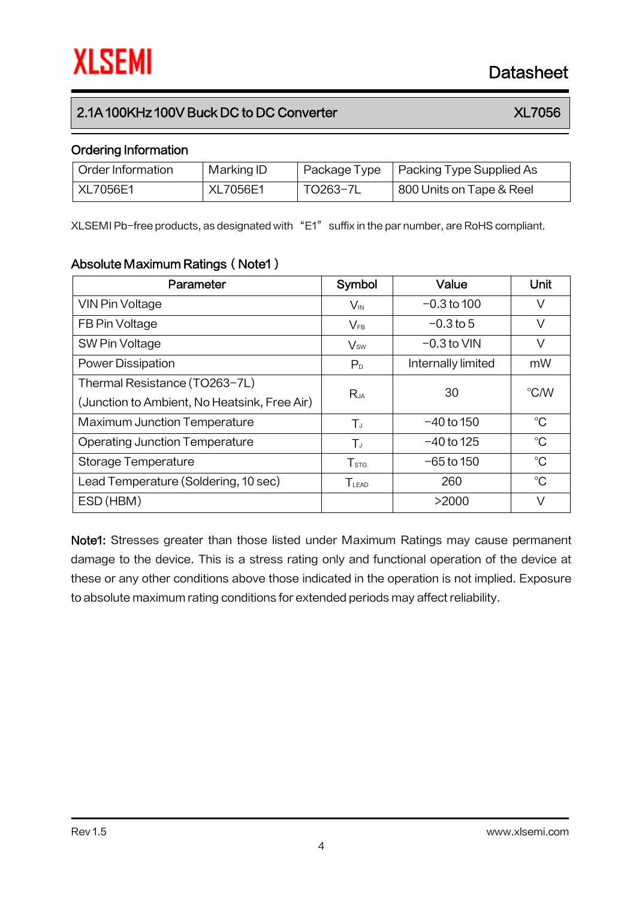### 2.1A 100KHz 100V Buck DC to DC Converter XLT 2.1A 100KHz 100V Buck DC to DC Converter

### Ordering Information

| Order Information | Marking ID      | Package Type | Packing Type Supplied As |
|-------------------|-----------------|--------------|--------------------------|
| XL7056E1          | <b>XL7056E1</b> | TO263-7L     | 800 Units on Tape & Reel |

XLSEMI Pb-free products, as designated with "E1" suffix in the par number, are RoHS compliant.

### Absolute Maximum Ratings (Note1)

| Parameter                                    | Symbol           | Value              | Unit        |
|----------------------------------------------|------------------|--------------------|-------------|
| VIN Pin Voltage                              | $V_{\text{IN}}$  | $-0.3$ to 100      | V           |
| FB Pin Voltage                               | $V_{FB}$         | $-0.3$ to 5        | V           |
| SW Pin Voltage                               | $V_{sw}$         | $-0.3$ to VIN      | V           |
| <b>Power Dissipation</b>                     | P <sub>D</sub>   | Internally limited | mW          |
| Thermal Resistance (TO263-7L)                | $R_{JA}$         | 30                 | °C/W        |
| (Junction to Ambient, No Heatsink, Free Air) |                  |                    |             |
| <b>Maximum Junction Temperature</b>          | $T_{J}$          | $-40$ to 150       | $^{\circ}C$ |
| <b>Operating Junction Temperature</b>        | $T_{J}$          | $-40$ to 125       | $^{\circ}C$ |
| Storage Temperature                          | $T_{\text{STG}}$ | $-65$ to 150       | $^{\circ}C$ |
| Lead Temperature (Soldering, 10 sec)         | TLEAD            | 260                | $^{\circ}C$ |
| ESD (HBM)                                    |                  | >2000              | V           |

Note1: Stresses greater than those listed under Maximum Ratings may cause permanent damage to the device. This is a stress rating only and functional operation of the device at these or any other conditions above those indicated in the operation is not implied. Exposure to absolute maximum rating conditions for extended periods may affect reliability.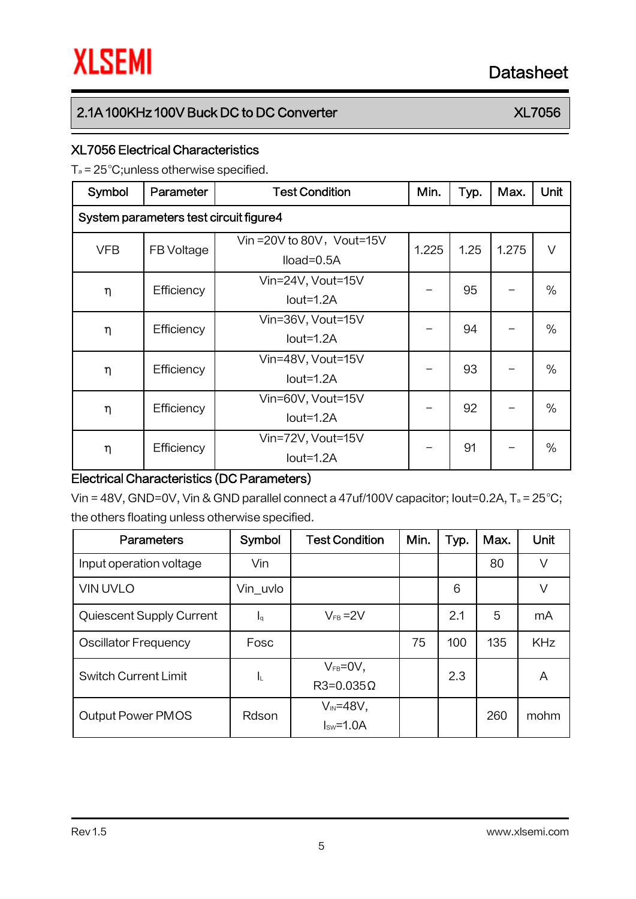## 2.1A 100KHz 100V Buck DC to DC Converter XLT AND TO ALL TO 2.1A 100KHz 100V Buck DC to DC Converter

## XL7056 Electrical Characteristics

 $T_a = 25^{\circ}$ C;unless otherwise specified.

| Symbol                                 | Parameter  | <b>Test Condition</b>                      | Min.  | Typ. | Max.  | <b>Unit</b> |  |  |
|----------------------------------------|------------|--------------------------------------------|-------|------|-------|-------------|--|--|
| System parameters test circuit figure4 |            |                                            |       |      |       |             |  |  |
| <b>VFB</b>                             | FB Voltage | Vin = 20V to 80V, Vout=15V<br>$Iload=0.5A$ | 1.225 | 1.25 | 1.275 | $\vee$      |  |  |
| η                                      | Efficiency | Vin=24V, Vout=15V<br>$Iout=1.2A$           |       | 95   |       | $\%$        |  |  |
| η                                      | Efficiency | Vin=36V, Vout=15V<br>$Iout=1.2A$           |       | 94   |       | $\%$        |  |  |
| η                                      | Efficiency | Vin=48V, Vout=15V<br>$Iout=1.2A$           |       | 93   |       | $\%$        |  |  |
| η                                      | Efficiency | Vin=60V, Vout=15V<br>$Iout=1.2A$           |       | 92   |       | $\%$        |  |  |
| η                                      | Efficiency | Vin=72V, Vout=15V<br>$Iout=1.2A$           |       | 91   |       | $\%$        |  |  |

### Electrical Characteristics (DC Parameters)

Vin = 48V, GND=0V, Vin & GND parallel connect a 47uf/100V capacitor; lout=0.2A,  $T_a = 25^{\circ}$ C; the others floating unless otherwise specified.

| <b>Parameters</b>           | Symbol                    | <b>Test Condition</b>               | Min. | Typ. | Max. | Unit       |
|-----------------------------|---------------------------|-------------------------------------|------|------|------|------------|
| Input operation voltage     | Vin                       |                                     |      |      | 80   | V          |
| <b>VIN UVLO</b>             | Vin uvlo                  |                                     |      | 6    |      | V          |
| Quiescent Supply Current    | $\mathsf{I}_{\mathsf{G}}$ | $V_{FB} = 2V$                       |      | 2.1  | 5    | mA         |
| <b>Oscillator Frequency</b> | Fosc                      |                                     | 75   | 100  | 135  | <b>KHz</b> |
| <b>Switch Current Limit</b> | ΙL                        | $V_{FB} = 0V$ ,<br>$R3=0.035\Omega$ |      | 2.3  |      | A          |
| <b>Output Power PMOS</b>    | Rdson                     | $V_{IN} = 48V$ ,<br>$Isw=1.0A$      |      |      | 260  | mohm       |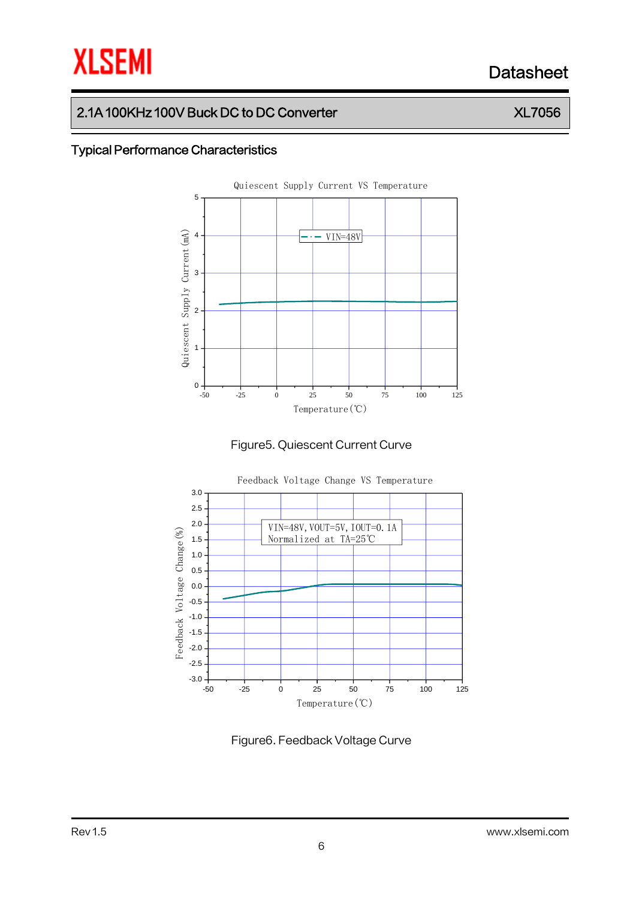# **XLSEMI** Datasheet

## 2.1A 100KHz 100V Buck DC to DC Converter XLT AND TO ALL TO 2.1A 100KHz 100V Buck DC to DC Converter

### Typical Performance Characteristics







Figure6. Feedback Voltage Curve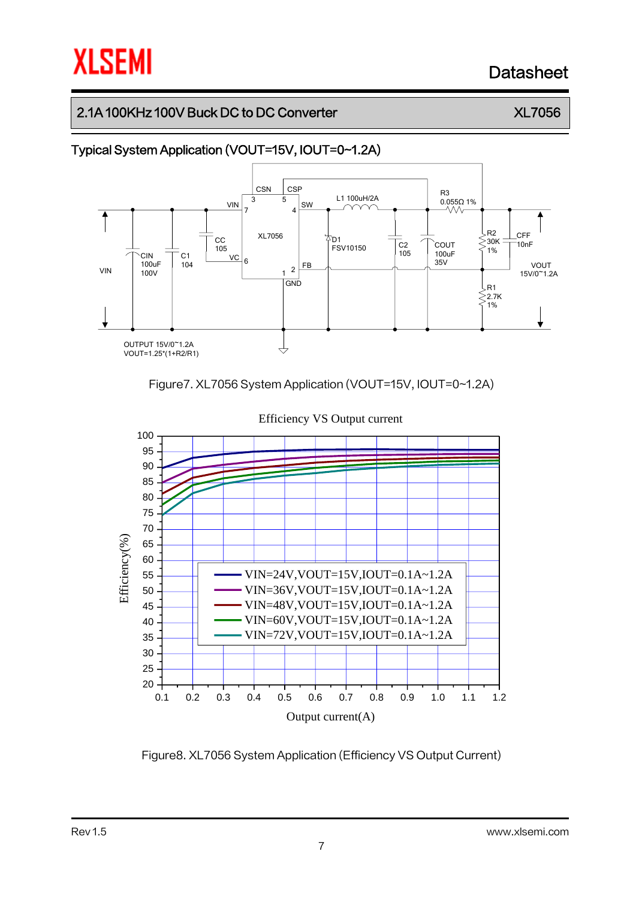# Datasheet

## 2.1A 100KHz 100V Buck DC to DC Converter XLT 2.1A 100KHz 100V Buck DC to DC Converter



Figure7. XL7056 System Application (VOUT=15V, IOUT=0~1.2A)



Figure8. XL7056 System Application (Efficiency VS Output Current)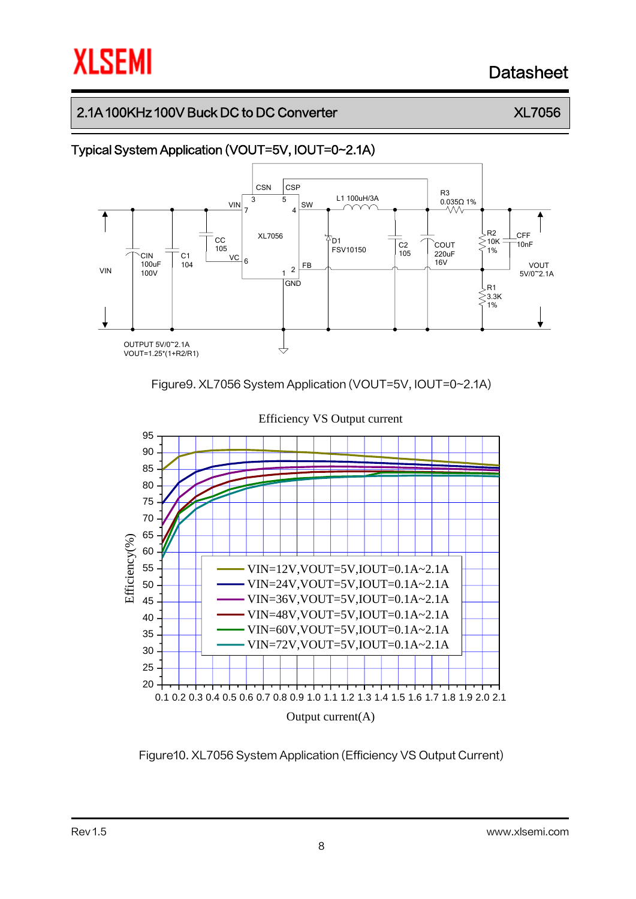# Datasheet

## 2.1A 100KHz 100V Buck DC to DC Converter XLT 2.1A 100KHz 100V Buck DC to DC Converter



Figure9. XL7056 System Application (VOUT=5V, IOUT=0~2.1A)



Figure10. XL7056 System Application (Efficiency VS Output Current)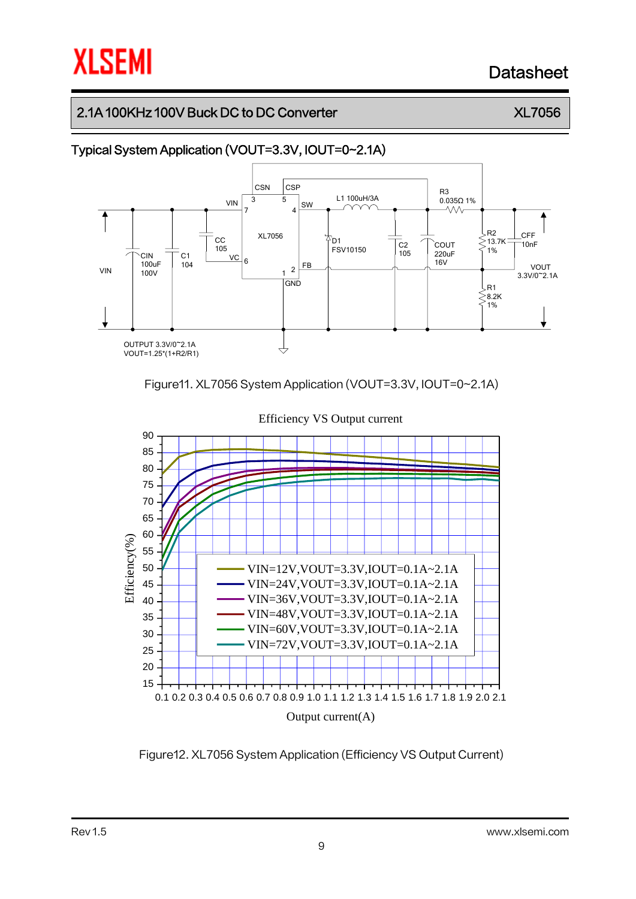# Datasheet

### 2.1A 100KHz 100V Buck DC to DC Converter XLT 2.1A 100KHz 100V Buck DC to DC Converter



Figure11. XL7056 System Application (VOUT=3.3V, IOUT=0~2.1A)



Figure12. XL7056 System Application (Efficiency VS Output Current)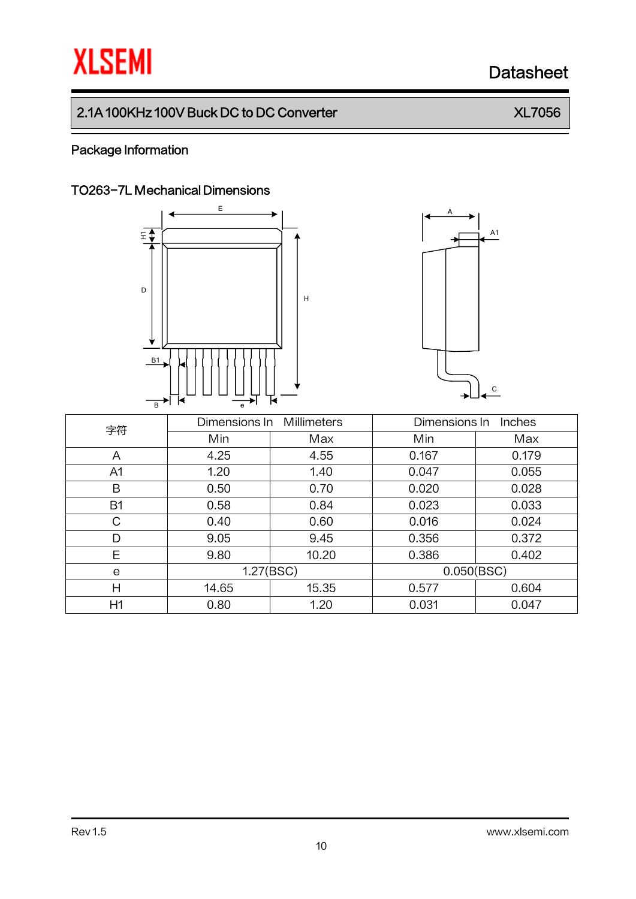# **XLSEMI** Datasheet

## 2.1A 100KHz 100V Buck DC to DC Converter XL7056

### Package Information

### TO263-7L Mechanical Dimensions

<sup>H</sup> <sup>D</sup>  $E$ B1 B e

E



A

| 字符        | Dimensions In | <b>Millimeters</b> | Dimensions In<br>Inches |       |  |
|-----------|---------------|--------------------|-------------------------|-------|--|
|           | Min           | Max                | Min                     | Max   |  |
| A         | 4.25          | 4.55               | 0.167                   | 0.179 |  |
| A1        | 1.20          | 1.40               | 0.047                   | 0.055 |  |
| B         | 0.50          | 0.70               | 0.020                   | 0.028 |  |
| <b>B1</b> | 0.58          | 0.84               | 0.023                   | 0.033 |  |
| С         | 0.40          | 0.60               | 0.016                   | 0.024 |  |
| D         | 9.05          | 9.45               | 0.356                   | 0.372 |  |
| E         | 9.80          | 10.20              | 0.386                   | 0.402 |  |
| e         | 1.27(BSC)     |                    | 0.050(BSC)              |       |  |
| Н         | 14.65         | 15.35              | 0.577                   | 0.604 |  |
| H1        | 0.80          | 1.20               | 0.031                   | 0.047 |  |

10